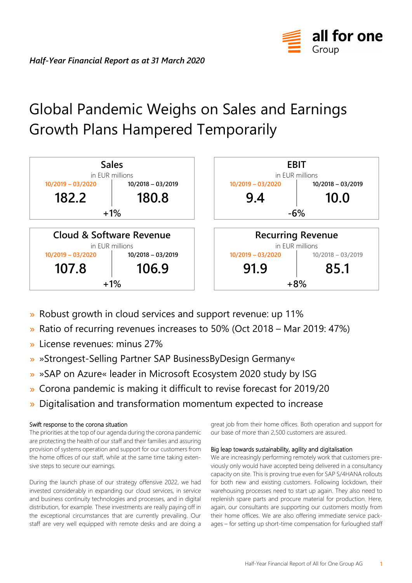

# Global Pandemic Weighs on Sales and Earnings Growth Plans Hampered Temporarily



- » Robust growth in cloud services and support revenue: up 11%
- Ratio of recurring revenues increases to 50% (Oct 2018 Mar 2019: 47%)  $\mathbf{y}$
- License revenues: minus 27%
- »Strongest-Selling Partner SAP BusinessByDesign Germany«
- » »SAP on Azure« leader in Microsoft Ecosystem 2020 study by ISG
- Corona pandemic is making it difficult to revise forecast for 2019/20  $\mathbf{y}$
- Digitalisation and transformation momentum expected to increase

## Swift response to the corona situation

The priorities at the top of our agenda during the corona pandemic are protecting the health of our staff and their families and assuring provision of systems operation and support for our customers from the home offices of our staff, while at the same time taking extensive steps to secure our earnings.

During the launch phase of our strategy offensive 2022, we had invested considerably in expanding our cloud services, in service and business continuity technologies and processes, and in digital distribution, for example. These investments are really paying off in the exceptional circumstances that are currently prevailing. Our staff are very well equipped with remote desks and are doing a

great job from their home offices. Both operation and support for our base of more than 2,500 customers are assured.

## Big leap towards sustainability, agility and digitalisation

We are increasingly performing remotely work that customers previously only would have accepted being delivered in a consultancy capacity on site. This is proving true even for SAP S/4HANA rollouts for both new and existing customers. Following lockdown, their warehousing processes need to start up again. They also need to replenish spare parts and procure material for production. Here, again, our consultants are supporting our customers mostly from their home offices. We are also offering immediate service packages – for setting up short-time compensation for furloughed staff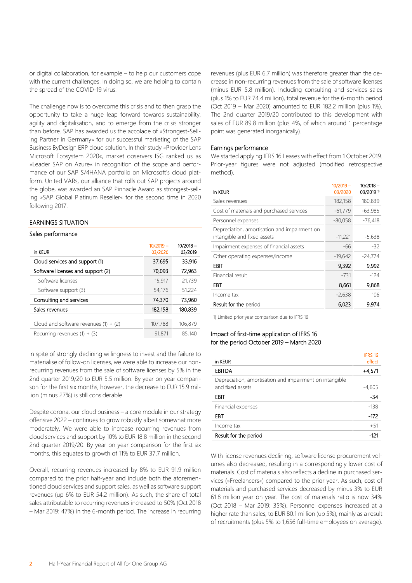or digital collaboration, for example – to help our customers cope with the current challenges. In doing so, we are helping to contain the spread of the COVID-19 virus.

The challenge now is to overcome this crisis and to then grasp the opportunity to take a huge leap forward towards sustainability, agility and digitalisation, and to emerge from the crisis stronger than before. SAP has awarded us the accolade of »Strongest-Selling Partner in Germany« for our successful marketing of the SAP Business ByDesign ERP cloud solution. In their study »Provider Lens Microsoft Ecosystem 2020«, market observers ISG ranked us as »Leader SAP on Azure« in recognition of the scope and performance of our SAP S/4HANA portfolio on Microsoft's cloud platform. United VARs, our alliance that rolls out SAP projects around the globe, was awarded an SAP Pinnacle Award as strongest-selling »SAP Global Platinum Reseller« for the second time in 2020 following 2017.

## EARNINGS SITUATION

#### Sales performance

| in KEUR                                 | $10/2019 -$<br>03/2020 | $10/2018 -$<br>03/2019 |
|-----------------------------------------|------------------------|------------------------|
| Cloud services and support (1)          | 37,695                 | 33,916                 |
| Software licenses and support (2)       | 70,093                 | 72,963                 |
| Software licenses                       | 15,917                 | 21,739                 |
| Software support (3)                    | 54,176                 | 51,224                 |
| Consulting and services                 | 74.370                 | 73,960                 |
| Sales revenues                          | 182,158                | 180.839                |
|                                         |                        |                        |
| Cloud and software revenues $(1) + (2)$ | 107,788                | 106,879                |
| Recurring revenues $(1) + (3)$          | 91.871                 | 85,140                 |

In spite of strongly declining willingness to invest and the failure to materialise of follow-on licenses, we were able to increase our nonrecurring revenues from the sale of software licenses by 5% in the 2nd quarter 2019/20 to EUR 5.5 million. By year on year comparison for the first six months, however, the decrease to EUR 15.9 million (minus 27%) is still considerable.

Despite corona, our cloud business – a core module in our strategy offensive 2022 – continues to grow robustly albeit somewhat more moderately. We were able to increase recurring revenues from cloud services and support by 10% to EUR 18.8 million in the second 2nd quarter 2019/20. By year on year comparison for the first six months, this equates to growth of 11% to EUR 37.7 million.

Overall, recurring revenues increased by 8% to EUR 91.9 million compared to the prior half-year and include both the aforementioned cloud services and support sales, as well as software support revenues (up 6% to EUR 54.2 million). As such, the share of total sales attributable to recurring revenues increased to 50% (Oct 2018 – Mar 2019: 47%) in the 6-month period. The increase in recurring

revenues (plus EUR 6.7 million) was therefore greater than the decrease in non-recurring revenues from the sale of software licenses (minus EUR 5.8 million). Including consulting and services sales (plus 1% to EUR 74.4 million), total revenue for the 6-month period (Oct 2019 – Mar 2020) amounted to EUR 182.2 million (plus 1%). The 2nd quarter 2019/20 contributed to this development with sales of EUR 89.8 million (plus 4%, of which around 1 percentage point was generated inorganically).

## Earnings performance

We started applying IFRS 16 Leases with effect from 1 October 2019. Prior-year figures were not adjusted (modified retrospective method).

| in KEUR                                                                     | $10/2019 -$<br>03/2020 | $10/2018 -$<br>03/2019 1 |
|-----------------------------------------------------------------------------|------------------------|--------------------------|
| Sales revenues                                                              | 182,158                | 180,839                  |
| Cost of materials and purchased services                                    | $-61,779$              | $-63,985$                |
| Personnel expenses                                                          | $-80,058$              | $-76,418$                |
| Depreciation, amortisation and impairment on<br>intangible and fixed assets | $-11,221$              | $-5,638$                 |
| Impairment expenses of financial assets                                     | -66                    | -32                      |
| Other operating expenses/income                                             | $-19,642$              | $-24,774$                |
| EBIT                                                                        | 9,392                  | 9,992                    |
| Financial result                                                            | $-731$                 | $-124$                   |
| EBT                                                                         | 8,661                  | 9,868                    |
| Income tax                                                                  | $-2,638$               | 106                      |
| Result for the period                                                       | 6,023                  | 9,974                    |

1) Limited prior year comparison due to IFRS 16

### Impact of first-time application of IFRS 16 for the period October 2019 – March 2020

| in KEUR                                                 | <b>IFRS 16</b><br>effect |
|---------------------------------------------------------|--------------------------|
|                                                         |                          |
| <b>EBITDA</b>                                           | $+4,571$                 |
| Depreciation, amortisation and impairment on intangible |                          |
| and fixed assets                                        | -4,605                   |
| EBIT                                                    | $-34$                    |
| Financial expenses                                      | $-138$                   |
| EBT                                                     | $-172$                   |
| Income tax                                              | $+51$                    |
| Result for the period                                   | -121                     |

With license revenues declining, software license procurement volumes also decreased, resulting in a correspondingly lower cost of materials. Cost of materials also reflects a decline in purchased services (»Freelancers«) compared to the prior year. As such, cost of materials and purchased services decreased by minus 3% to EUR 61.8 million year on year. The cost of materials ratio is now 34% (Oct 2018 – Mar 2019: 35%). Personnel expenses increased at a higher rate than sales, to EUR 80.1 million (up 5%), mainly as a result of recruitments (plus 5% to 1,656 full-time employees on average).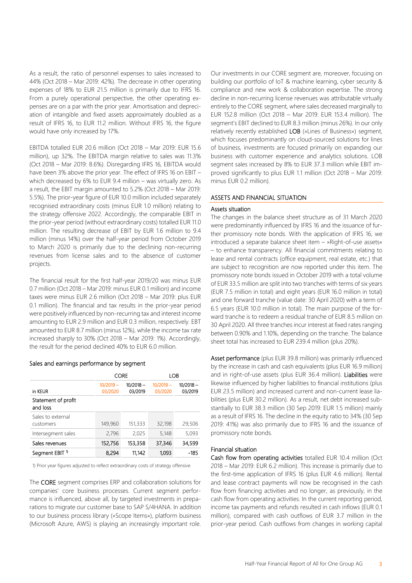As a result, the ratio of personnel expenses to sales increased to 44% (Oct 2018 – Mar 2019: 42%). The decrease in other operating expenses of 18% to EUR 21.5 million is primarily due to IFRS 16. From a purely operational perspective, the other operating expenses are on a par with the prior year. Amortisation and depreciation of intangible and fixed assets approximately doubled as a result of IFRS 16, to EUR 11.2 million. Without IFRS 16, the figure would have only increased by 17%.

EBITDA totalled EUR 20.6 million (Oct 2018 – Mar 2019: EUR 15.6 million), up 32%. The EBITDA margin relative to sales was 11.3% (Oct 2018 – Mar 2019: 8.6%). Disregarding IFRS 16, EBITDA would have been 3% above the prior year. The effect of IFRS 16 on EBIT – which decreased by 6% to EUR 9.4 million – was virtually zero. As a result, the EBIT margin amounted to 5.2% (Oct 2018 – Mar 2019: 5.5%). The prior-year figure of EUR 10.0 million included separately recognised extraordinary costs (minus EUR 1.0 million) relating to the strategy offensive 2022. Accordingly, the comparable EBIT in the prior-year period (without extraordinary costs) totalled EUR 11.0 million. The resulting decrease of EBIT by EUR 1.6 million to 9.4 million (minus 14%) over the half-year period from October 2019 to March 2020 is primarily due to the declining non-recurring revenues from license sales and to the absence of customer projects.

The financial result for the first half-year 2019/20 was minus EUR 0.7 million (Oct 2018 – Mar 2019: minus EUR 0.1 million) and income taxes were minus EUR 2.6 million (Oct 2018 – Mar 2019: plus EUR 0.1 million). The financial and tax results in the prior-year period were positively influenced by non-recurring tax and interest income amounting to EUR 2.9 million and EUR 0.3 million, respectively. EBT amounted to EUR 8.7 million (minus 12%), while the income tax rate increased sharply to 30% (Oct 2018 – Mar 2019: 1%). Accordingly, the result for the period declined 40% to EUR 6.0 million.

#### Sales and earnings performance by segment

|                                 | <b>CORE</b>            |                        | LOB                    |                        |
|---------------------------------|------------------------|------------------------|------------------------|------------------------|
| in KEUR                         | $10/2019 -$<br>03/2020 | $10/2018 -$<br>03/2019 | $10/2019 -$<br>03/2020 | $10/2018 -$<br>03/2019 |
| Statement of profit<br>and loss |                        |                        |                        |                        |
| Sales to external<br>customers  | 149,960                | 151,333                | 32,198                 | 29,506                 |
| Intersegment sales              | 2,796                  | 2.025                  | 5,148                  | 5,093                  |
| Sales revenues                  | 152,756                | 153,358                | 37,346                 | 34,599                 |
| Segment EBIT <sup>1</sup>       | 8,294                  | 11,142                 | 1.093                  | -185                   |

1) Prior year figures adjusted to reflect extraordinary costs of strategy offensive

The CORE segment comprises ERP and collaboration solutions for companies' core business processes. Current segment performance is influenced, above all, by targeted investments in preparations to migrate our customer base to SAP S/4HANA. In addition to our business process library (»Scope Items«), platform business (Microsoft Azure, AWS) is playing an increasingly important role. Our investments in our CORE segment are, moreover, focusing on building our portfolio of IoT & machine learning, cyber security & compliance and new work & collaboration expertise. The strong decline in non-recurring license revenues was attributable virtually entirely to the CORE segment, where sales decreased marginally to EUR 152.8 million (Oct 2018 – Mar 2019: EUR 153.4 million). The segment's EBIT declined to EUR 8.3 million (minus 26%). In our only relatively recently established LOB (»Lines of Business«) segment, which focuses predominantly on cloud-sourced solutions for lines of business, investments are focused primarily on expanding our business with customer experience and analytics solutions. LOB segment sales increased by 8% to EUR 37.3 million while EBIT improved significantly to plus EUR 1.1 million (Oct 2018 – Mar 2019: minus EUR 0.2 million).

#### ASSETS AND FINANCIAL SITUATION

#### Assets situation

The changes in the balance sheet structure as of 31 March 2020 were predominantly influenced by IFRS 16 and the issuance of further promissory note bonds. With the application of IFRS 16, we introduced a separate balance sheet item – »Right-of-use assets« – to enhance transparency. All financial commitments relating to lease and rental contracts (office equipment, real estate, etc.) that are subject to recognition are now reported under this item. The promissory note bonds issued in October 2019 with a total volume of EUR 33.5 million are split into two tranches with terms of six years (EUR 7.5 million in total) and eight years (EUR 16.0 million in total) and one forward tranche (value date: 30 April 2020) with a term of 6.5 years (EUR 10.0 million in total). The main purpose of the forward tranche is to redeem a residual tranche of EUR 8.5 million on 30 April 2020. All three tranches incur interest at fixed rates ranging between 0.90% and 1.10%, depending on the tranche. The balance sheet total has increased to EUR 239.4 million (plus 20%).

Asset performance (plus EUR 39.8 million) was primarily influenced by the increase in cash and cash equivalents (plus EUR 16.9 million) and in right-of-use assets (plus EUR 36.4 million). Liabilities were likewise influenced by higher liabilities to financial institutions (plus EUR 23.5 million) and increased current and non-current lease liabilities (plus EUR 30.2 million). As a result, net debt increased substantially to EUR 38.3 million (30 Sep 2019: EUR 1.5 million) mainly as a result of IFRS 16. The decline in the equity ratio to 34% (30 Sep 2019: 41%) was also primarily due to IFRS 16 and the issuance of promissory note bonds.

#### Financial situation

Cash flow from operating activities totalled EUR 10.4 million (Oct 2018 – Mar 2019: EUR 6.2 million). This increase is primarily due to the first-time application of IFRS 16 (plus EUR 4.6 million). Rental and lease contract payments will now be recognised in the cash flow from financing activities and no longer, as previously, in the cash flow from operating activities. In the current reporting period, income tax payments and refunds resulted in cash inflows (EUR 0.1 million), compared with cash outflows of EUR 3.7 million in the prior-year period. Cash outflows from changes in working capital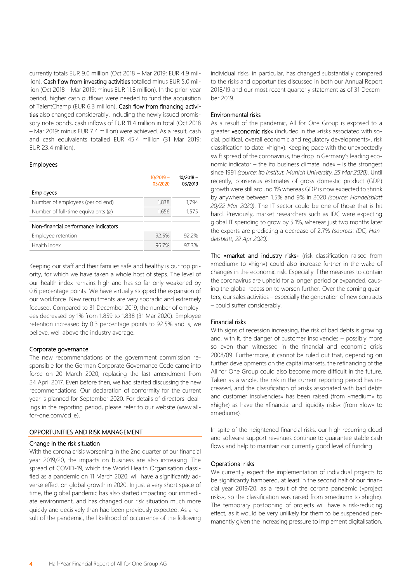currently totals EUR 9.0 million (Oct 2018 – Mar 2019: EUR 4.9 million). Cash flow from investing activities totalled minus EUR 5.0 million (Oct 2018 – Mar 2019: minus EUR 11.8 million). In the prior-year period, higher cash outflows were needed to fund the acquisition of TalentChamp (EUR 6.3 million). Cash flow from financing activities also changed considerably. Including the newly issued promissory note bonds, cash inflows of EUR 11.4 million in total (Oct 2018 – Mar 2019: minus EUR 7.4 million) were achieved. As a result, cash and cash equivalents totalled EUR 45.4 million (31 Mar 2019: EUR 23.4 million).

## Employees

|                                               | $10/2019 -$<br>03/2020 | $10/2018 -$<br>03/2019 |
|-----------------------------------------------|------------------------|------------------------|
| <b>Employees</b>                              |                        |                        |
| Number of employees (period end)              | 1,838                  | 1.794                  |
| Number of full-time equivalents $(\emptyset)$ | 1,656                  | 1,575                  |
| Non-financial performance indicators          |                        |                        |
| Employee retention                            | 92.5%                  | 92.2%                  |
| Health index                                  | 96.7%                  | 973%                   |

Keeping our staff and their families safe and healthy is our top priority, for which we have taken a whole host of steps. The level of our health index remains high and has so far only weakened by 0.6 percentage points. We have virtually stopped the expansion of our workforce. New recruitments are very sporadic and extremely focused. Compared to 31 December 2019, the number of employees decreased by 1% from 1,859 to 1,838 (31 Mar 2020). Employee retention increased by 0.3 percentage points to 92.5% and is, we believe, well above the industry average.

#### Corporate governance

The new recommendations of the government commission responsible for the German Corporate Governance Code came into force on 20 March 2020, replacing the last amendment from 24 April 2017. Even before then, we had started discussing the new recommendations. Our declaration of conformity for the current year is planned for September 2020. For details of directors' dealings in the reporting period, please refer to our website (www.allfor-one.com/dd\_e).

## OPPORTUNITIES AND RISK MANAGEMENT

## Change in the risk situation

With the corona crisis worsening in the 2nd quarter of our financial year 2019/20, the impacts on business are also increasing. The spread of COVID-19, which the World Health Organisation classified as a pandemic on 11 March 2020, will have a significantly adverse effect on global growth in 2020. In just a very short space of time, the global pandemic has also started impacting our immediate environment, and has changed our risk situation much more quickly and decisively than had been previously expected. As a result of the pandemic, the likelihood of occurrence of the following

individual risks, in particular, has changed substantially compared to the risks and opportunities discussed in both our Annual Report 2018/19 and our most recent quarterly statement as of 31 December 2019.

### Environmental risks

As a result of the pandemic, All for One Group is exposed to a greater »economic risk« (included in the »risks associated with social, political, overall economic and regulatory developments«, risk classification to date: »high«). Keeping pace with the unexpectedly swift spread of the coronavirus, the drop in Germany's leading economic indicator – the ifo business climate index – is the strongest since 1991 *(source: ifo Institut, Munich University, 25 Mar 2020).* Until recently, consensus estimates of gross domestic product (GDP) growth were still around 1% whereas GDP is now expected to shrink by anywhere between 1.5% and 9% in 2020 *(source: Handelsblatt 20/22 Mar 2020)*. The IT sector could be one of those that is hit hard. Previously, market researchers such as IDC were expecting global IT spending to grow by 5.1%, whereas just two months later the experts are predicting a decrease of 2.7% *(sources: IDC, Handelsblatt, 22 Apr 2020)*.

The »market and industry risks« (risk classification raised from »medium« to »high«) could also increase further in the wake of changes in the economic risk. Especially if the measures to contain the coronavirus are upheld for a longer period or expanded, causing the global recession to worsen further. Over the coming quarters, our sales activities – especially the generation of new contracts – could suffer considerably.

## Financial risks

With signs of recession increasing, the risk of bad debts is growing and, with it, the danger of customer insolvencies – possibly more so even than witnessed in the financial and economic crisis 2008/09. Furthermore, it cannot be ruled out that, depending on further developments on the capital markets, the refinancing of the All for One Group could also become more difficult in the future. Taken as a whole, the risk in the current reporting period has increased, and the classification of »risks associated with bad debts and customer insolvencies« has been raised (from »medium« to »high«) as have the »financial and liquidity risks« (from »low« to »medium«).

In spite of the heightened financial risks, our high recurring cloud and software support revenues continue to guarantee stable cash flows and help to maintain our currently good level of funding.

## Operational risks

We currently expect the implementation of individual projects to be significantly hampered, at least in the second half of our financial year 2019/20, as a result of the corona pandemic (»project risks«, so the classification was raised from »medium« to »high«). The temporary postponing of projects will have a risk-reducing effect, as it would be very unlikely for them to be suspended permanently given the increasing pressure to implement digitalisation.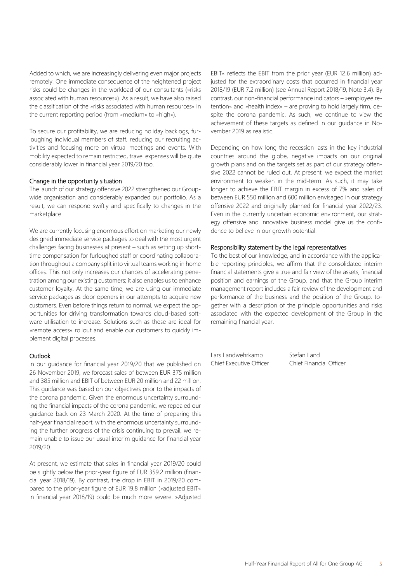Added to which, we are increasingly delivering even major projects remotely. One immediate consequence of the heightened project risks could be changes in the workload of our consultants (»risks associated with human resources«). As a result, we have also raised the classification of the »risks associated with human resources« in the current reporting period (from »medium« to »high«).

To secure our profitability, we are reducing holiday backlogs, furloughing individual members of staff, reducing our recruiting activities and focusing more on virtual meetings and events. With mobility expected to remain restricted, travel expenses will be quite considerably lower in financial year 2019/20 too.

### Change in the opportunity situation

The launch of our strategy offensive 2022 strengthened our Groupwide organisation and considerably expanded our portfolio. As a result, we can respond swiftly and specifically to changes in the marketplace.

We are currently focusing enormous effort on marketing our newly designed immediate service packages to deal with the most urgent challenges facing businesses at present – such as setting up shorttime compensation for furloughed staff or coordinating collaboration throughout a company split into virtual teams working in home offices. This not only increases our chances of accelerating penetration among our existing customers; it also enables us to enhance customer loyalty. At the same time, we are using our immediate service packages as door openers in our attempts to acquire new customers. Even before things return to normal, we expect the opportunities for driving transformation towards cloud-based software utilisation to increase. Solutions such as these are ideal for »remote access« rollout and enable our customers to quickly implement digital processes.

#### **Outlook**

In our guidance for financial year 2019/20 that we published on 26 November 2019, we forecast sales of between EUR 375 million and 385 million and EBIT of between EUR 20 million and 22 million. This guidance was based on our objectives prior to the impacts of the corona pandemic. Given the enormous uncertainty surrounding the financial impacts of the corona pandemic, we repealed our guidance back on 23 March 2020. At the time of preparing this half-year financial report, with the enormous uncertainty surrounding the further progress of the crisis continuing to prevail, we remain unable to issue our usual interim guidance for financial year 2019/20.

At present, we estimate that sales in financial year 2019/20 could be slightly below the prior-year figure of EUR 359.2 million (financial year 2018/19). By contrast, the drop in EBIT in 2019/20 compared to the prior-year figure of EUR 19.8 million (»adjusted EBIT« in financial year 2018/19) could be much more severe. »Adjusted

EBIT« reflects the EBIT from the prior year (EUR 12.6 million) adjusted for the extraordinary costs that occurred in financial year 2018/19 (EUR 7.2 million) (see Annual Report 2018/19, Note 3.4). By contrast, our non-financial performance indicators – »employee retention« and »health index« – are proving to hold largely firm, despite the corona pandemic. As such, we continue to view the achievement of these targets as defined in our guidance in November 2019 as realistic.

Depending on how long the recession lasts in the key industrial countries around the globe, negative impacts on our original growth plans and on the targets set as part of our strategy offensive 2022 cannot be ruled out. At present, we expect the market environment to weaken in the mid-term. As such, it may take longer to achieve the EBIT margin in excess of 7% and sales of between EUR 550 million and 600 million envisaged in our strategy offensive 2022 and originally planned for financial year 2022/23. Even in the currently uncertain economic environment, our strategy offensive and innovative business model give us the confidence to believe in our growth potential.

### Responsibility statement by the legal representatives

To the best of our knowledge, and in accordance with the applicable reporting principles, we affirm that the consolidated interim financial statements give a true and fair view of the assets, financial position and earnings of the Group, and that the Group interim management report includes a fair review of the development and performance of the business and the position of the Group, together with a description of the principle opportunities and risks associated with the expected development of the Group in the remaining financial year.

Lars Landwehrkamp Stefan Land

Chief Executive Officer Chief Financial Officer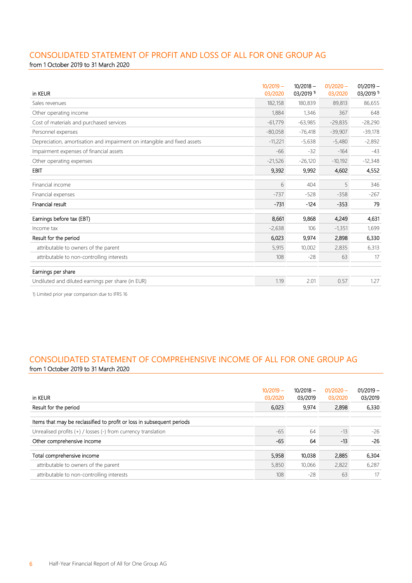## CONSOLIDATED STATEMENT OF PROFIT AND LOSS OF ALL FOR ONE GROUP AG

from 1 October 2019 to 31 March 2020

| in KEUR                                                                  | $10/2019 -$<br>03/2020 | $10/2018 -$<br>$03/2019$ <sup>1)</sup> | $01/2020 -$<br>03/2020 | $01/2019 -$<br>03/2019 1 |
|--------------------------------------------------------------------------|------------------------|----------------------------------------|------------------------|--------------------------|
| Sales revenues                                                           | 182,158                | 180,839                                | 89,813                 | 86,655                   |
| Other operating income                                                   | 1,884                  | 1,346                                  | 367                    | 648                      |
| Cost of materials and purchased services                                 | $-61,779$              | $-63,985$                              | $-29,835$              | $-28,290$                |
| Personnel expenses                                                       | $-80,058$              | $-76,418$                              | $-39,907$              | $-39,178$                |
| Depreciation, amortisation and impairment on intangible and fixed assets | $-11,221$              | $-5,638$                               | $-5,480$               | $-2,892$                 |
| Impairment expenses of financial assets                                  | $-66$                  | $-32$                                  | $-164$                 | $-43$                    |
| Other operating expenses                                                 | $-21,526$              | $-26,120$                              | $-10,192$              | $-12,348$                |
| <b>EBIT</b>                                                              | 9,392                  | 9,992                                  | 4,602                  | 4,552                    |
| Financial income                                                         | 6                      | 404                                    | 5                      | 346                      |
| Financial expenses                                                       | $-737$                 | $-528$                                 | $-358$                 | $-267$                   |
| Financial result                                                         | $-731$                 | $-124$                                 | $-353$                 | 79                       |
| Earnings before tax (EBT)                                                | 8,661                  | 9,868                                  | 4,249                  | 4,631                    |
| Income tax                                                               | $-2,638$               | 106                                    | $-1,351$               | 1,699                    |
| Result for the period                                                    | 6,023                  | 9,974                                  | 2,898                  | 6,330                    |
| attributable to owners of the parent                                     | 5,915                  | 10,002                                 | 2,835                  | 6,313                    |
| attributable to non-controlling interests                                | 108                    | $-28$                                  | 63                     | 17                       |
| Earnings per share                                                       |                        |                                        |                        |                          |
| Undiluted and diluted earnings per share (in EUR)                        | 1.19                   | 2.01                                   | 0.57                   | 1.27                     |

1) Limited prior year comparison due to IFRS 16

## CONSOLIDATED STATEMENT OF COMPREHENSIVE INCOME OF ALL FOR ONE GROUP AG from 1 October 2019 to 31 March 2020

| in KEUR<br>Result for the period                                       | $10/2019 -$<br>03/2020<br>6,023 | $10/2018 -$<br>03/2019<br>9,974 | $01/2020 -$<br>03/2020<br>2,898 | $01/2019 -$<br>03/2019<br>6,330 |
|------------------------------------------------------------------------|---------------------------------|---------------------------------|---------------------------------|---------------------------------|
| Items that may be reclassified to profit or loss in subsequent periods |                                 |                                 |                                 |                                 |
| Unrealised profits (+) / losses (-) from currency translation          | $-65$                           | 64                              | $-13$                           | $-26$                           |
| Other comprehensive income                                             | -65                             | 64                              | $-13$                           | $-26$                           |
| Total comprehensive income                                             | 5,958                           | 10,038                          | 2,885                           | 6,304                           |
| attributable to owners of the parent                                   | 5,850                           | 10,066                          | 2,822                           | 6,287                           |
| attributable to non-controlling interests                              | 108                             | $-28$                           | 63                              | 17                              |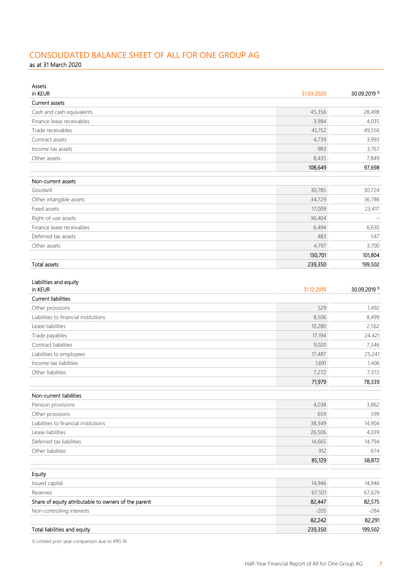## CONSOLIDATED BALANCE SHEET OF ALL FOR ONE GROUP AG

as at 31 March 2020

| Assets<br>in KEUR                                    | 31.03.2020 | 30.09.2019 1 |
|------------------------------------------------------|------------|--------------|
| <b>Current assets</b>                                |            |              |
| Cash and cash equivalents                            | 45,356     | 28,498       |
| Finance lease receivables                            | 3,984      | 4,035        |
| Trade receivables                                    | 45,152     | 49,556       |
| Contract assets                                      | 4,739      | 3,993        |
| Income tax assets                                    | 983        | 3,767        |
| Other assets                                         | 8,435      | 7,849        |
|                                                      | 108,649    | 97,698       |
| Non-current assets                                   |            |              |
| Goodwill                                             | 30,785     | 30,724       |
| Other intangible assets                              | 34,729     | 36,786       |
| Fixed assets                                         | 17,009     | 23,417       |
| Right-of-use assets                                  | 36,404     |              |
| Finance lease receivables                            | 6,494      | 6,630        |
| Deferred tax assets                                  | 483        | 547          |
| Other assets                                         | 4,797      | 3,700        |
|                                                      | 130,701    | 101,804      |
| <b>Total assets</b>                                  | 239,350    | 199,502      |
|                                                      |            |              |
| Liabilities and equity<br>in KEUR                    | 31.12.2019 | 30.09.2019 1 |
| <b>Current liabilities</b>                           |            |              |
| Other provisions                                     | 529        | 1,492        |
| Liabilities to financial institutions                | 8,506      | 8,499        |
| Lease liabilities                                    | 10,280     | 2,562        |
| Trade payables                                       | 17,194     | 24,421       |
| Contract liabilities                                 | 9,020      | 7,346        |
| Liabilities to employees                             | 17,487     | 25,241       |
| Income tax liabilities                               | 1,691      | 1,406        |
| Other liabilities                                    | 7,272      | 7,372        |
|                                                      | 71,979     | 78,339       |
| Non-current liabilities                              |            |              |
| Pension provisions                                   | 4,038      | 3,862        |
| Other provisions                                     | 659        | 599          |
| Liabilities to financial institutions                | 38,349     | 14,904       |
| Lease liabilities                                    | 26,506     | 4,039        |
| Deferred tax liabilities                             | 14,665     | 14,794       |
| Other liabilities                                    | 912        | 674          |
|                                                      | 85,129     | 38,872       |
|                                                      |            |              |
| Equity                                               |            |              |
| Issued capital                                       | 14,946     | 14,946       |
| Reserves                                             | 67,501     | 67,629       |
| Share of equity attributable to owners of the parent | 82,447     | 82,575       |
| Non-controlling interests                            | $-205$     | $-284$       |
|                                                      | 82,242     | 82,291       |
| Total liabilities and equity                         | 239,350    | 199,502      |

1) Limited prior year comparison due to IFRS 16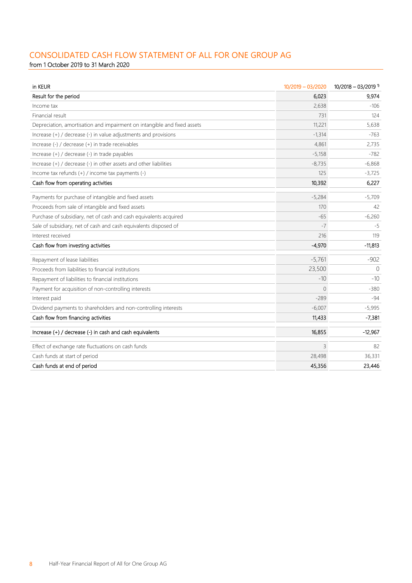## CONSOLIDATED CASH FLOW STATEMENT OF ALL FOR ONE GROUP AG

from 1 October 2019 to 31 March 2020

| in KEUR                                                                  | 10/2019 - 03/2020 | $10/2018 - 03/2019$ <sup>1)</sup> |
|--------------------------------------------------------------------------|-------------------|-----------------------------------|
| Result for the period                                                    | 6,023             | 9,974                             |
| Income tax                                                               | 2,638             | $-106$                            |
| Financial result                                                         | 731               | 124                               |
| Depreciation, amortisation and impairment on intangible and fixed assets | 11,221            | 5,638                             |
| Increase (+) / decrease (-) in value adjustments and provisions          | $-1,314$          | $-763$                            |
| Increase (-) / decrease (+) in trade receivables                         | 4,861             | 2,735                             |
| Increase (+) / decrease (-) in trade payables                            | $-5,158$          | $-782$                            |
| Increase (+) / decrease (-) in other assets and other liabilities        | $-8,735$          | $-6,868$                          |
| Income tax refunds (+) / income tax payments (-)                         | 125               | $-3,725$                          |
| Cash flow from operating activities                                      | 10,392            | 6,227                             |
| Payments for purchase of intangible and fixed assets                     | $-5,284$          | $-5,709$                          |
| Proceeds from sale of intangible and fixed assets                        | 170               | 42                                |
| Purchase of subsidiary, net of cash and cash equivalents acquired        | $-65$             | $-6,260$                          |
| Sale of subsidiary, net of cash and cash equivalents disposed of         | $-7$              | -5                                |
| Interest received                                                        | 216               | 119                               |
| Cash flow from investing activities                                      | $-4,970$          | $-11,813$                         |
| Repayment of lease liabilities                                           | $-5,761$          | $-902$                            |
| Proceeds from liabilities to financial institutions                      | 23,500            | $\Omega$                          |
| Repayment of liabilities to financial institutions                       | $-10$             | $-10$                             |
| Payment for acquisition of non-controlling interests                     | $\Omega$          | $-380$                            |
| Interest paid                                                            | $-289$            | $-94$                             |
| Dividend payments to shareholders and non-controlling interests          | $-6,007$          | $-5,995$                          |
| Cash flow from financing activities                                      | 11,433            | $-7,381$                          |
| Increase (+) / decrease (-) in cash and cash equivalents                 | 16,855            | $-12,967$                         |
| Effect of exchange rate fluctuations on cash funds                       | 3                 | 82                                |
| Cash funds at start of period                                            | 28,498            | 36,331                            |
| Cash funds at end of period                                              | 45,356            | 23,446                            |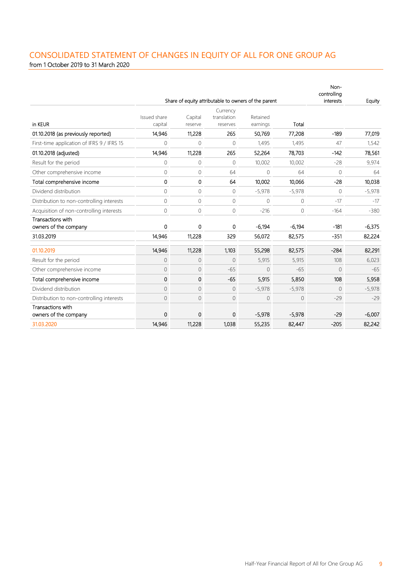## CONSOLIDATED STATEMENT OF CHANGES IN EQUITY OF ALL FOR ONE GROUP AG from 1 October 2019 to 31 March 2020

|                                            |                         |                    |                                     | Share of equity attributable to owners of the parent |              | Non-<br>controlling<br>interests | Equity   |
|--------------------------------------------|-------------------------|--------------------|-------------------------------------|------------------------------------------------------|--------------|----------------------------------|----------|
| in KEUR                                    | Issued share<br>capital | Capital<br>reserve | Currency<br>translation<br>reserves | Retained<br>earnings                                 | Total        |                                  |          |
| 01.10.2018 (as previously reported)        | 14,946                  | 11,228             | 265                                 | 50,769                                               | 77,208       | $-189$                           | 77,019   |
| First-time application of IFRS 9 / IFRS 15 | $\mathbf 0$             | 0                  | $\mathbf 0$                         | 1.495                                                | 1.495        | 47                               | 1,542    |
| 01.10.2018 (adjusted)                      | 14,946                  | 11,228             | 265                                 | 52,264                                               | 78,703       | $-142$                           | 78,561   |
| Result for the period                      | $\mathbf{0}$            | 0                  | $\mathbf{0}$                        | 10,002                                               | 10,002       | $-28$                            | 9,974    |
| Other comprehensive income                 | $\Omega$                | 0                  | 64                                  | $\Omega$                                             | 64           | $\Omega$                         | 64       |
| Total comprehensive income                 | 0                       | 0                  | 64                                  | 10,002                                               | 10,066       | $-28$                            | 10,038   |
| Dividend distribution                      | $\Omega$                | 0                  | $\Omega$                            | $-5,978$                                             | $-5,978$     | $\Omega$                         | $-5,978$ |
| Distribution to non-controlling interests  | $\mathbf{0}$            | 0                  | $\circ$                             | 0                                                    | $\mathbf{0}$ | $-17$                            | $-17$    |
| Acquisition of non-controlling interests   | $\mathbf 0$             | 0                  | 0                                   | $-216$                                               | $\mathbf 0$  | $-164$                           | $-380$   |
| Transactions with<br>owners of the company | 0                       | 0                  | 0                                   | $-6,194$                                             | $-6,194$     | $-181$                           | $-6,375$ |
| 31.03.2019                                 | 14,946                  | 11,228             | 329                                 | 56,072                                               | 82,575       | $-351$                           | 82,224   |
| 01.10.2019                                 | 14,946                  | 11,228             | 1,103                               | 55,298                                               | 82,575       | $-284$                           | 82,291   |
| Result for the period                      | $\overline{0}$          | 0                  | $\mathbf{0}$                        | 5,915                                                | 5,915        | 108                              | 6,023    |
| Other comprehensive income                 | $\mathbf{0}$            | 0                  | $-65$                               | $\Omega$                                             | $-65$        | $\Omega$                         | $-65$    |
| Total comprehensive income                 | 0                       | 0                  | $-65$                               | 5,915                                                | 5,850        | 108                              | 5,958    |
| Dividend distribution                      | $\overline{0}$          | 0                  | $\overline{0}$                      | $-5,978$                                             | $-5,978$     | $\overline{0}$                   | $-5,978$ |
| Distribution to non-controlling interests  | $\circ$                 | 0                  | 0                                   | 0                                                    | 0            | $-29$                            | $-29$    |
| Transactions with<br>owners of the company | 0                       | 0                  | 0                                   | $-5,978$                                             | $-5,978$     | $-29$                            | $-6,007$ |
| 31.03.2020                                 | 14,946                  | 11,228             | 1,038                               | 55,235                                               | 82,447       | $-205$                           | 82,242   |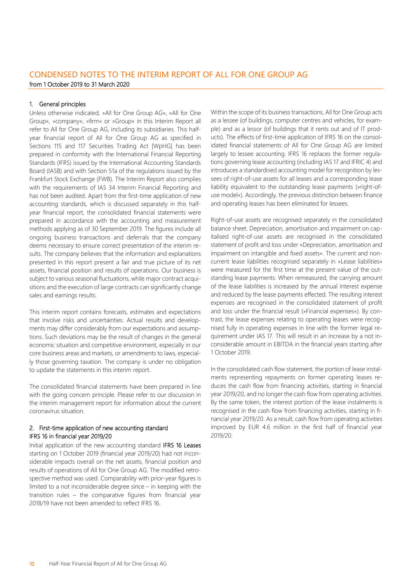## CONDENSED NOTES TO THE INTERIM REPORT OF ALL FOR ONE GROUP AG from 1 October 2019 to 31 March 2020

## 1. General principles

Unless otherwise indicated, »All for One Group AG«, »All for One Group«, »company«, »firm« or »Group« in this Interim Report all refer to All for One Group AG, including its subsidiaries. This halfyear financial report of All for One Group AG as specified in Sections 115 and 117 Securities Trading Act [WpHG] has been prepared in conformity with the International Financial Reporting Standards (IFRS) issued by the International Accounting Standards Board (IASB) and with Section 51a of the regulations issued by the Frankfurt Stock Exchange (FWB). The Interim Report also complies with the requirements of IAS 34 Interim Financial Reporting and has not been audited. Apart from the first-time application of new accounting standards, which is discussed separately in this halfyear financial report, the consolidated financial statements were prepared in accordance with the accounting and measurement methods applying as of 30 September 2019. The figures include all ongoing business transactions and deferrals that the company deems necessary to ensure correct presentation of the interim results. The company believes that the information and explanations presented in this report present a fair and true picture of its net assets, financial position and results of operations. Our business is subject to various seasonal fluctuations, while major contract acquisitions and the execution of large contracts can significantly change sales and earnings results.

This interim report contains forecasts, estimates and expectations that involve risks and uncertainties. Actual results and developments may differ considerably from our expectations and assumptions. Such deviations may be the result of changes in the general economic situation and competitive environment, especially in our core business areas and markets, or amendments to laws, especially those governing taxation. The company is under no obligation to update the statements in this interim report.

The consolidated financial statements have been prepared in line with the going concern principle. Please refer to our discussion in the interim management report for information about the current coronavirus situation.

## 2. First-time application of new accounting standard IFRS 16 in financial year 2019/20

Initial application of the new accounting standard IFRS 16 Leases starting on 1 October 2019 (financial year 2019/20) had not inconsiderable impacts overall on the net assets, financial position and results of operations of All for One Group AG. The modified retrospective method was used. Comparability with prior-year figures is limited to a not inconsiderable degree since – in keeping with the transition rules – the comparative figures from financial year 2018/19 have not been amended to reflect IFRS 16.

Within the scope of its business transactions, All for One Group acts as a lessee (of buildings, computer centres and vehicles, for example) and as a lessor (of buildings that it rents out and of IT products). The effects of first-time application of IFRS 16 on the consolidated financial statements of All for One Group AG are limited largely to lessee accounting. IFRS 16 replaces the former regulations governing lease accounting (including IAS 17 and IFRIC 4) and introduces a standardised accounting model for recognition by lessees of right-of-use assets for all leases and a corresponding lease liability equivalent to the outstanding lease payments (»right-ofuse model«). Accordingly, the previous distinction between finance and operating leases has been eliminated for lessees.

Right-of-use assets are recognised separately in the consolidated balance sheet. Depreciation, amortisation and impairment on capitalised right-of-use assets are recognised in the consolidated statement of profit and loss under »Depreciation, amortisation and impairment on intangible and fixed assets«. The current and noncurrent lease liabilities recognised separately in »Lease liabilities« were measured for the first time at the present value of the outstanding lease payments. When remeasured, the carrying amount of the lease liabilities is increased by the annual interest expense and reduced by the lease payments effected. The resulting interest expenses are recognised in the consolidated statement of profit and loss under the financial result (»Financial expenses«). By contrast, the lease expenses relating to operating leases were recognised fully in operating expenses in line with the former legal requirement under IAS 17. This will result in an increase by a not inconsiderable amount in EBITDA in the financial years starting after 1 October 2019.

In the consolidated cash flow statement, the portion of lease instalments representing repayments on former operating leases reduces the cash flow from financing activities, starting in financial year 2019/20, and no longer the cash flow from operating activities. By the same token, the interest portion of the lease instalments is recognised in the cash flow from financing activities, starting in financial year 2019/20. As a result, cash flow from operating activities improved by EUR 4.6 million in the first half of financial year 2019/20.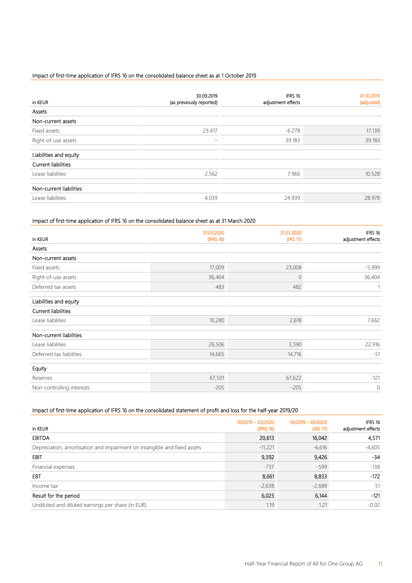## Impact of first-time application of IFRS 16 on the consolidated balance sheet as at 1 October 2019

| in KEUR                    | 30.09.2019<br>(as previously reported) | IFRS 16<br>adjustment effects | 01.10.2019<br>(adjusted) |
|----------------------------|----------------------------------------|-------------------------------|--------------------------|
| Assets                     |                                        |                               |                          |
| Non-current assets         |                                        |                               |                          |
| Fixed assets               | 23.417                                 | $-6.278$                      | 17.139                   |
| Right-of-use assets        | -                                      | 39.183                        | 39.183                   |
| Liabilities and equity     |                                        |                               |                          |
| <b>Current liabilities</b> |                                        |                               |                          |
| Lease liabilities          | 2.562                                  | 7.966                         | 10.528                   |
| Non-current liabilities    |                                        |                               |                          |
| Lease liabilities          | 4.039                                  | 24.939                        | 28.978                   |

## Impact of first-time application of IFRS 16 on the consolidated balance sheet as at 31 March 2020

|                            | 31.03.2020 | 31.03.2020     | IFRS 16            |
|----------------------------|------------|----------------|--------------------|
| in KEUR                    | (IFRS 16)  | (IAS 17)       | adjustment effects |
| Assets                     |            |                |                    |
| Non-current assets         |            |                |                    |
| Fixed assets               | 17,009     | 23,008         | $-5,999$           |
| Right-of-use assets        | 36,404     | $\overline{0}$ | 36,404             |
| Deferred tax assets        | 483        | 482            |                    |
| Liabilities and equity     |            |                |                    |
| <b>Current liabilities</b> |            |                |                    |
| Lease liabilities          | 10,280     | 2,618          | 7,662              |
| Non-current liabilities    |            |                |                    |
| Lease liabilities          | 26,506     | 3,590          | 22,916             |
| Deferred tax liabilities   | 14,665     | 14,716         | $-51$              |
| Equity                     |            |                |                    |
| Reserves                   | 67,501     | 67,622         | $-121$             |
| Non-controlling interests  | $-205$     | $-205$         | 0                  |

## Impact of first-time application of IFRS 16 on the consolidated statement of profit and loss for the half-year 2019/20

| in KEUR                                                                  | 10/2019 - 03/2020<br>(IFRS 16) | 10/2019 - 03/2020<br>(IAS 17) | IFRS 16<br>adjustment effects |
|--------------------------------------------------------------------------|--------------------------------|-------------------------------|-------------------------------|
| <b>EBITDA</b>                                                            | 20,613                         | 16,042                        | 4,571                         |
| Depreciation, amortisation and impairment on intangible and fixed assets | $-11,221$                      | $-6,616$                      | $-4,605$                      |
| <b>EBIT</b>                                                              | 9,392                          | 9,426                         | $-34$                         |
| Financial expenses                                                       | $-737$                         | $-599$                        | $-138$                        |
| EBT                                                                      | 8,661                          | 8,833                         | $-172$                        |
| Income tax                                                               | $-2,638$                       | $-2,689$                      | 51                            |
| Result for the period                                                    | 6,023                          | 6,144                         | $-121$                        |
| Undiluted and diluted earnings per share (in EUR)                        | 1.19                           | 1.21                          | $-0.02$                       |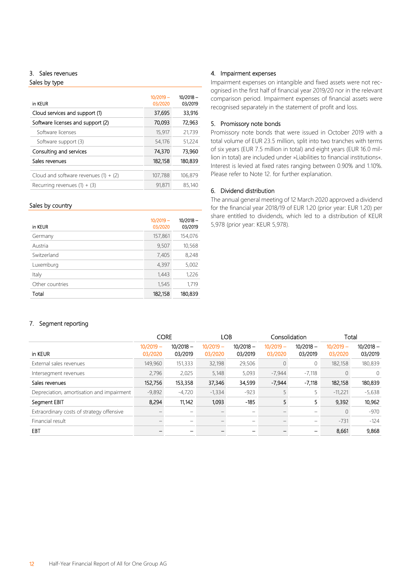## 3. Sales revenues

Sales by type

| $10/2019 -$<br>03/2020 | $10/2018 -$<br>03/2019 |
|------------------------|------------------------|
| 37,695                 | 33,916                 |
| 70,093                 | 72,963                 |
| 15,917                 | 21,739                 |
| 54,176                 | 51,224                 |
| 74.370                 | 73.960                 |
| 182,158                | 180,839                |
|                        |                        |
| 107,788                | 106,879                |
| 91,871                 | 85,140                 |
|                        |                        |

## Sales by country

| in KEUR         | $10/2019 -$<br>03/2020 | $10/2018 -$<br>03/2019 |
|-----------------|------------------------|------------------------|
| Germany         | 157,861                | 154,076                |
| Austria         | 9,507                  | 10,568                 |
| Switzerland     | 7,405                  | 8,248                  |
| Luxemburg       | 4,397                  | 5,002                  |
| Italy           | 1,443                  | 1,226                  |
| Other countries | 1,545                  | 1,719                  |
| Total           | 182,158                | 180,839                |

## 4. Impairment expenses

Impairment expenses on intangible and fixed assets were not recognised in the first half of financial year 2019/20 nor in the relevant comparison period. Impairment expenses of financial assets were recognised separately in the statement of profit and loss.

## 5. Promissory note bonds

Promissory note bonds that were issued in October 2019 with a total volume of EUR 23.5 million, split into two tranches with terms of six years (EUR 7.5 million in total) and eight years (EUR 16.0 million in total) are included under »Liabilities to financial institutions«. Interest is levied at fixed rates ranging between 0.90% and 1.10%. Please refer to Note 12. for further explanation.

## 6. Dividend distribution

The annual general meeting of 12 March 2020 approved a dividend for the financial year 2018/19 of EUR 1.20 (prior year: EUR 1.20) per share entitled to dividends, which led to a distribution of KEUR 5,978 (prior year: KEUR 5,978).

## 7. Segment reporting

|                                           | <b>CORE</b>            |                        |                        | <b>LOB</b>             |                        | Consolidation          | Total                  |                        |
|-------------------------------------------|------------------------|------------------------|------------------------|------------------------|------------------------|------------------------|------------------------|------------------------|
| in KEUR                                   | $10/2019 -$<br>03/2020 | $10/2018 -$<br>03/2019 | $10/2019 -$<br>03/2020 | $10/2018 -$<br>03/2019 | $10/2019 -$<br>03/2020 | $10/2018 -$<br>03/2019 | $10/2019 -$<br>03/2020 | $10/2018 -$<br>03/2019 |
| External sales revenues                   | 149,960                | 151,333                | 32,198                 | 29,506                 | $\Omega$               |                        | 182,158                | 180,839                |
| Intersegment revenues                     | 2,796                  | 2,025                  | 5,148                  | 5,093                  | $-7,944$               | $-7.118$               |                        | 0                      |
| Sales revenues                            | 152,756                | 153,358                | 37,346                 | 34,599                 | $-7.944$               | $-7,118$               | 182,158                | 180,839                |
| Depreciation, amortisation and impairment | $-9,892$               | $-4,720$               | $-1,334$               | $-923$                 |                        |                        | $-11,221$              | $-5,638$               |
| Segment EBIT                              | 8,294                  | 11,142                 | 1,093                  | $-185$                 |                        | 5                      | 9,392                  | 10,962                 |
| Extraordinary costs of strategy offensive |                        | $\qquad \qquad$        |                        |                        |                        |                        | 0                      | $-970$                 |
| Financial result                          |                        | $\qquad \qquad$        |                        |                        |                        |                        | $-731$                 | $-124$                 |
| EBT                                       |                        |                        |                        |                        |                        |                        | 8,661                  | 9,868                  |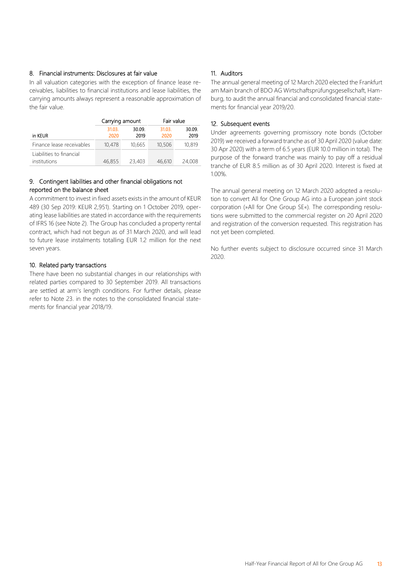## 8. Financial instruments: Disclosures at fair value

In all valuation categories with the exception of finance lease receivables, liabilities to financial institutions and lease liabilities, the carrying amounts always represent a reasonable approximation of the fair value.

|                                          | Carrying amount |                | Fair value     |                |  |
|------------------------------------------|-----------------|----------------|----------------|----------------|--|
| in KEUR                                  | 31.03.<br>2020  | 30.09.<br>2019 | 31.03.<br>2020 | 30.09.<br>2019 |  |
| Finance lease receivables                | 10,478          | 10,665         | 10,506         | 10,819         |  |
| Liabilities to financial<br>institutions | 46,855          | 23,403         | 46,610         | 24,008         |  |

## 9. Contingent liabilities and other financial obligations not reported on the balance sheet

A commitment to invest in fixed assets exists in the amount of KEUR 489 (30 Sep 2019: KEUR 2,951). Starting on 1 October 2019, operating lease liabilities are stated in accordance with the requirements of IFRS 16 (see Note 2). The Group has concluded a property rental contract, which had not begun as of 31 March 2020, and will lead to future lease instalments totalling EUR 1.2 million for the next seven years.

## 10. Related party transactions

There have been no substantial changes in our relationships with related parties compared to 30 September 2019. All transactions are settled at arm's length conditions. For further details, please refer to Note 23. in the notes to the consolidated financial statements for financial year 2018/19.

## 11. Auditors

The annual general meeting of 12 March 2020 elected the Frankfurt am Main branch of BDO AG Wirtschaftsprüfungsgesellschaft, Hamburg, to audit the annual financial and consolidated financial statements for financial year 2019/20.

## 12. Subsequent events

Under agreements governing promissory note bonds (October 2019) we received a forward tranche as of 30 April 2020 (value date: 30 Apr 2020) with a term of 6.5 years (EUR 10.0 million in total). The purpose of the forward tranche was mainly to pay off a residual tranche of EUR 8.5 million as of 30 April 2020. Interest is fixed at 1.00%.

The annual general meeting on 12 March 2020 adopted a resolution to convert All for One Group AG into a European joint stock corporation (»All for One Group SE«). The corresponding resolutions were submitted to the commercial register on 20 April 2020 and registration of the conversion requested. This registration has not yet been completed.

No further events subject to disclosure occurred since 31 March 2020.